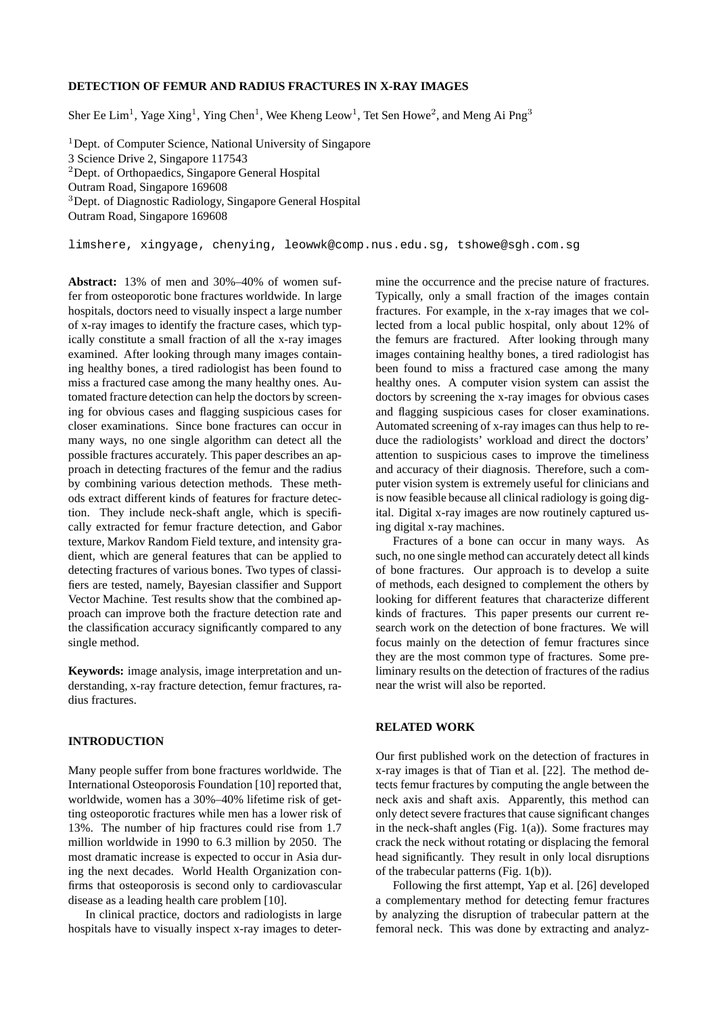# **DETECTION OF FEMUR AND RADIUS FRACTURES IN X-RAY IMAGES**

Sher Ee Lim<sup>1</sup>, Yage Xing<sup>1</sup>, Ying Chen<sup>1</sup>, Wee Kheng Leow<sup>1</sup>, Tet Sen Howe<sup>2</sup>, and Meng Ai Png<sup>3</sup>

<sup>1</sup>Dept. of Computer Science, National University of Singapore 3 Science Drive 2, Singapore 117543 <sup>2</sup>Dept. of Orthopaedics, Singapore General Hospital Outram Road, Singapore 169608 <sup>3</sup>Dept. of Diagnostic Radiology, Singapore General Hospital Outram Road, Singapore 169608

limshere, xingyage, chenying, leowwk@comp.nus.edu.sg, tshowe@sgh.com.sg

**Abstract:** 13% of men and 30%–40% of women suffer from osteoporotic bone fractures worldwide. In large hospitals, doctors need to visually inspect a large number of x-ray images to identify the fracture cases, which typically constitute a small fraction of all the x-ray images examined. After looking through many images containing healthy bones, a tired radiologist has been found to miss a fractured case among the many healthy ones. Automated fracture detection can help the doctors by screening for obvious cases and flagging suspicious cases for closer examinations. Since bone fractures can occur in many ways, no one single algorithm can detect all the possible fractures accurately. This paper describes an approach in detecting fractures of the femur and the radius by combining various detection methods. These methods extract different kinds of features for fracture detection. They include neck-shaft angle, which is specifically extracted for femur fracture detection, and Gabor texture, Markov Random Field texture, and intensity gradient, which are general features that can be applied to detecting fractures of various bones. Two types of classifiers are tested, namely, Bayesian classifier and Support Vector Machine. Test results show that the combined approach can improve both the fracture detection rate and the classification accuracy significantly compared to any single method.

**Keywords:** image analysis, image interpretation and understanding, x-ray fracture detection, femur fractures, radius fractures.

#### **INTRODUCTION**

Many people suffer from bone fractures worldwide. The International Osteoporosis Foundation [10] reported that, worldwide, women has a 30%–40% lifetime risk of getting osteoporotic fractures while men has a lower risk of 13%. The number of hip fractures could rise from 1.7 million worldwide in 1990 to 6.3 million by 2050. The most dramatic increase is expected to occur in Asia during the next decades. World Health Organization confirms that osteoporosis is second only to cardiovascular disease as a leading health care problem [10].

In clinical practice, doctors and radiologists in large hospitals have to visually inspect x-ray images to determine the occurrence and the precise nature of fractures. Typically, only a small fraction of the images contain fractures. For example, in the x-ray images that we collected from a local public hospital, only about 12% of the femurs are fractured. After looking through many images containing healthy bones, a tired radiologist has been found to miss a fractured case among the many healthy ones. A computer vision system can assist the doctors by screening the x-ray images for obvious cases and flagging suspicious cases for closer examinations. Automated screening of x-ray images can thus help to reduce the radiologists' workload and direct the doctors' attention to suspicious cases to improve the timeliness and accuracy of their diagnosis. Therefore, such a computer vision system is extremely useful for clinicians and is now feasible because all clinical radiology is going digital. Digital x-ray images are now routinely captured using digital x-ray machines.

Fractures of a bone can occur in many ways. As such, no one single method can accurately detect all kinds of bone fractures. Our approach is to develop a suite of methods, each designed to complement the others by looking for different features that characterize different kinds of fractures. This paper presents our current research work on the detection of bone fractures. We will focus mainly on the detection of femur fractures since they are the most common type of fractures. Some preliminary results on the detection of fractures of the radius near the wrist will also be reported.

#### **RELATED WORK**

Our first published work on the detection of fractures in x-ray images is that of Tian et al. [22]. The method detects femur fractures by computing the angle between the neck axis and shaft axis. Apparently, this method can only detect severe fractures that cause significant changes in the neck-shaft angles (Fig.  $1(a)$ ). Some fractures may crack the neck without rotating or displacing the femoral head significantly. They result in only local disruptions of the trabecular patterns (Fig. 1(b)).

Following the first attempt, Yap et al. [26] developed a complementary method for detecting femur fractures by analyzing the disruption of trabecular pattern at the femoral neck. This was done by extracting and analyz-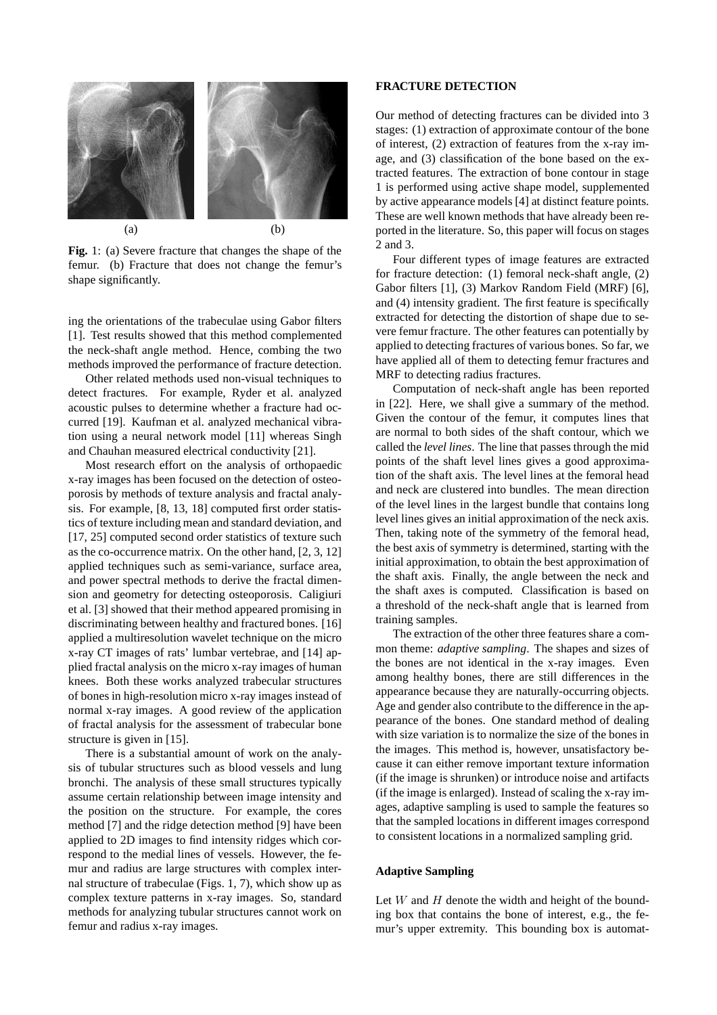

**Fig.** 1: (a) Severe fracture that changes the shape of the femur. (b) Fracture that does not change the femur's shape significantly.

ing the orientations of the trabeculae using Gabor filters [1]. Test results showed that this method complemented the neck-shaft angle method. Hence, combing the two methods improved the performance of fracture detection.

Other related methods used non-visual techniques to detect fractures. For example, Ryder et al. analyzed acoustic pulses to determine whether a fracture had occurred [19]. Kaufman et al. analyzed mechanical vibration using a neural network model [11] whereas Singh and Chauhan measured electrical conductivity [21].

Most research effort on the analysis of orthopaedic x-ray images has been focused on the detection of osteoporosis by methods of texture analysis and fractal analysis. For example, [8, 13, 18] computed first order statistics of texture including mean and standard deviation, and [17, 25] computed second order statistics of texture such as the co-occurrence matrix. On the other hand, [2, 3, 12] applied techniques such as semi-variance, surface area, and power spectral methods to derive the fractal dimension and geometry for detecting osteoporosis. Caligiuri et al. [3] showed that their method appeared promising in discriminating between healthy and fractured bones. [16] applied a multiresolution wavelet technique on the micro x-ray CT images of rats' lumbar vertebrae, and [14] applied fractal analysis on the micro x-ray images of human knees. Both these works analyzed trabecular structures of bones in high-resolution micro x-ray images instead of normal x-ray images. A good review of the application of fractal analysis for the assessment of trabecular bone structure is given in [15].

There is a substantial amount of work on the analysis of tubular structures such as blood vessels and lung bronchi. The analysis of these small structures typically assume certain relationship between image intensity and the position on the structure. For example, the cores method [7] and the ridge detection method [9] have been applied to 2D images to find intensity ridges which correspond to the medial lines of vessels. However, the femur and radius are large structures with complex internal structure of trabeculae (Figs. 1, 7), which show up as complex texture patterns in x-ray images. So, standard methods for analyzing tubular structures cannot work on femur and radius x-ray images.

## **FRACTURE DETECTION**

Our method of detecting fractures can be divided into 3 stages: (1) extraction of approximate contour of the bone of interest, (2) extraction of features from the x-ray image, and (3) classification of the bone based on the extracted features. The extraction of bone contour in stage 1 is performed using active shape model, supplemented by active appearance models [4] at distinct feature points. These are well known methods that have already been reported in the literature. So, this paper will focus on stages 2 and 3.

Four different types of image features are extracted for fracture detection: (1) femoral neck-shaft angle, (2) Gabor filters [1], (3) Markov Random Field (MRF) [6], and (4) intensity gradient. The first feature is specifically extracted for detecting the distortion of shape due to severe femur fracture. The other features can potentially by applied to detecting fractures of various bones. So far, we have applied all of them to detecting femur fractures and MRF to detecting radius fractures.

Computation of neck-shaft angle has been reported in [22]. Here, we shall give a summary of the method. Given the contour of the femur, it computes lines that are normal to both sides of the shaft contour, which we called the *level lines*. The line that passes through the mid points of the shaft level lines gives a good approximation of the shaft axis. The level lines at the femoral head and neck are clustered into bundles. The mean direction of the level lines in the largest bundle that contains long level lines gives an initial approximation of the neck axis. Then, taking note of the symmetry of the femoral head, the best axis of symmetry is determined, starting with the initial approximation, to obtain the best approximation of the shaft axis. Finally, the angle between the neck and the shaft axes is computed. Classification is based on a threshold of the neck-shaft angle that is learned from training samples.

The extraction of the other three features share a common theme: *adaptive sampling*. The shapes and sizes of the bones are not identical in the x-ray images. Even among healthy bones, there are still differences in the appearance because they are naturally-occurring objects. Age and gender also contribute to the difference in the appearance of the bones. One standard method of dealing with size variation is to normalize the size of the bones in the images. This method is, however, unsatisfactory because it can either remove important texture information (if the image is shrunken) or introduce noise and artifacts (if the image is enlarged). Instead of scaling the x-ray images, adaptive sampling is used to sample the features so that the sampled locations in different images correspond to consistent locations in a normalized sampling grid.

### **Adaptive Sampling**

Let  $W$  and  $H$  denote the width and height of the bounding box that contains the bone of interest, e.g., the femur's upper extremity. This bounding box is automat-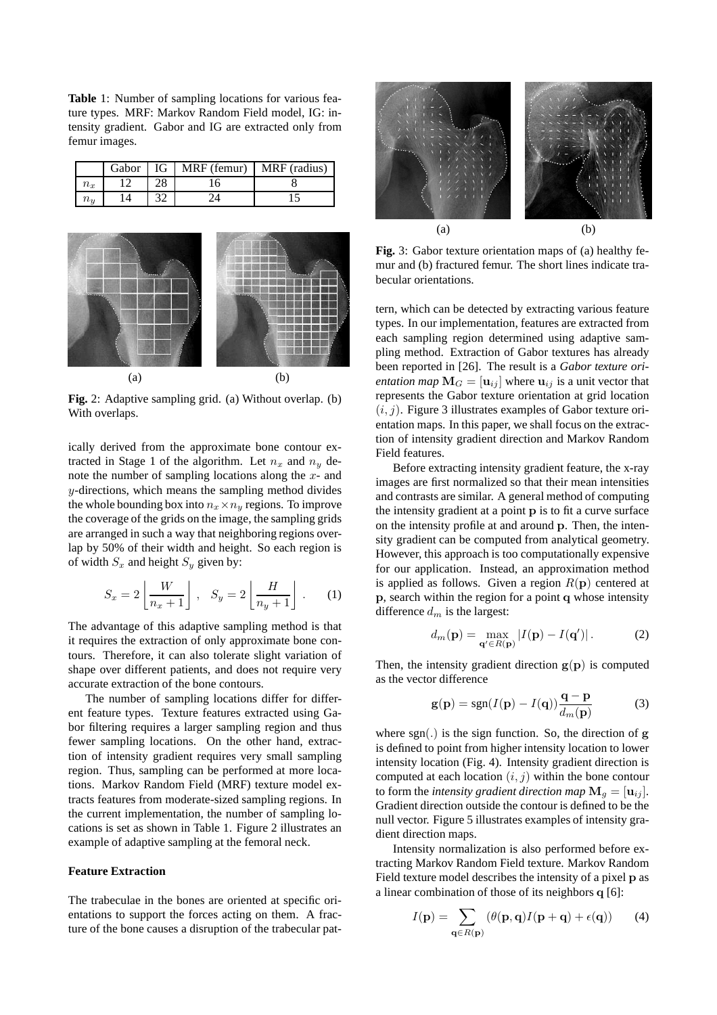**Table** 1: Number of sampling locations for various feature types. MRF: Markov Random Field model, IG: intensity gradient. Gabor and IG are extracted only from femur images.

|                | Gabor 1 | IG   MRF (femur)   MRF (radius) |  |
|----------------|---------|---------------------------------|--|
| $n_x$          |         |                                 |  |
| $\iota_{\eta}$ |         |                                 |  |



**Fig.** 2: Adaptive sampling grid. (a) Without overlap. (b) With overlaps.

ically derived from the approximate bone contour extracted in Stage 1 of the algorithm. Let  $n_x$  and  $n_y$  denote the number of sampling locations along the x- and  $y$ -directions, which means the sampling method divides the whole bounding box into  $n_x \times n_y$  regions. To improve the coverage of the grids on the image, the sampling grids are arranged in such a way that neighboring regions overlap by 50% of their width and height. So each region is of width  $S_x$  and height  $S_y$  given by:

$$
S_x = 2\left\lfloor \frac{W}{n_x + 1} \right\rfloor, \quad S_y = 2\left\lfloor \frac{H}{n_y + 1} \right\rfloor. \tag{1}
$$

The advantage of this adaptive sampling method is that it requires the extraction of only approximate bone contours. Therefore, it can also tolerate slight variation of shape over different patients, and does not require very accurate extraction of the bone contours.

The number of sampling locations differ for different feature types. Texture features extracted using Gabor filtering requires a larger sampling region and thus fewer sampling locations. On the other hand, extraction of intensity gradient requires very small sampling region. Thus, sampling can be performed at more locations. Markov Random Field (MRF) texture model extracts features from moderate-sized sampling regions. In the current implementation, the number of sampling locations is set as shown in Table 1. Figure 2 illustrates an example of adaptive sampling at the femoral neck.

# **Feature Extraction**

The trabeculae in the bones are oriented at specific orientations to support the forces acting on them. A fracture of the bone causes a disruption of the trabecular pat-



**Fig.** 3: Gabor texture orientation maps of (a) healthy femur and (b) fractured femur. The short lines indicate trabecular orientations.

tern, which can be detected by extracting various feature types. In our implementation, features are extracted from each sampling region determined using adaptive sampling method. Extraction of Gabor textures has already been reported in [26]. The result is a *Gabor texture orientation map*  $M_G = [\mathbf{u}_{ij}]$  where  $\mathbf{u}_{ij}$  is a unit vector that represents the Gabor texture orientation at grid location  $(i, j)$ . Figure 3 illustrates examples of Gabor texture orientation maps. In this paper, we shall focus on the extraction of intensity gradient direction and Markov Random Field features.

Before extracting intensity gradient feature, the x-ray images are first normalized so that their mean intensities and contrasts are similar. A general method of computing the intensity gradient at a point p is to fit a curve surface on the intensity profile at and around p. Then, the intensity gradient can be computed from analytical geometry. However, this approach is too computationally expensive for our application. Instead, an approximation method is applied as follows. Given a region  $R(\mathbf{p})$  centered at p, search within the region for a point q whose intensity difference  $d_m$  is the largest:

$$
d_m(\mathbf{p}) = \max_{\mathbf{q'} \in R(\mathbf{p})} |I(\mathbf{p}) - I(\mathbf{q'})|.
$$
 (2)

Then, the intensity gradient direction  $g(p)$  is computed as the vector difference

$$
\mathbf{g}(\mathbf{p}) = \text{sgn}(I(\mathbf{p}) - I(\mathbf{q})) \frac{\mathbf{q} - \mathbf{p}}{d_m(\mathbf{p})}
$$
(3)

where sgn(.) is the sign function. So, the direction of  $g$ is defined to point from higher intensity location to lower intensity location (Fig. 4). Intensity gradient direction is computed at each location  $(i, j)$  within the bone contour to form the *intensity gradient direction map*  $\mathbf{M}_q = [\mathbf{u}_{ij}]$ . Gradient direction outside the contour is defined to be the null vector. Figure 5 illustrates examples of intensity gradient direction maps.

Intensity normalization is also performed before extracting Markov Random Field texture. Markov Random Field texture model describes the intensity of a pixel p as a linear combination of those of its neighbors q [6]:

$$
I(\mathbf{p}) = \sum_{\mathbf{q} \in R(\mathbf{p})} (\theta(\mathbf{p}, \mathbf{q}) I(\mathbf{p} + \mathbf{q}) + \epsilon(\mathbf{q})) \tag{4}
$$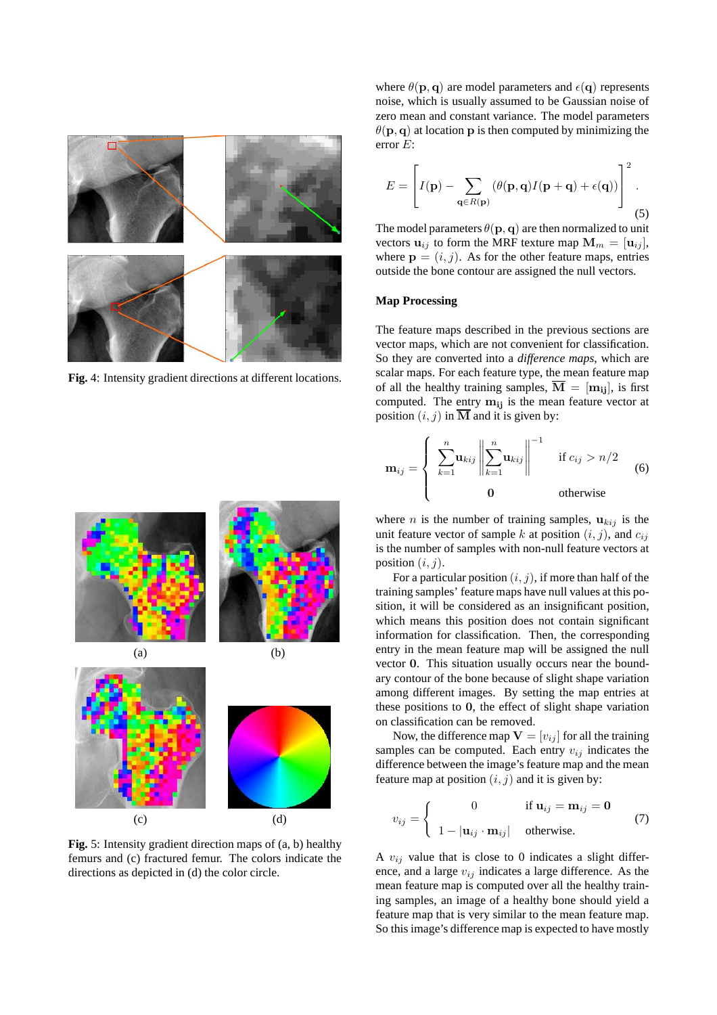

**Fig.** 4: Intensity gradient directions at different locations.



**Fig.** 5: Intensity gradient direction maps of (a, b) healthy femurs and (c) fractured femur. The colors indicate the directions as depicted in (d) the color circle.

where  $\theta(\mathbf{p}, \mathbf{q})$  are model parameters and  $\epsilon(\mathbf{q})$  represents noise, which is usually assumed to be Gaussian noise of zero mean and constant variance. The model parameters  $\theta(\mathbf{p}, \mathbf{q})$  at location **p** is then computed by minimizing the error E:

$$
E = \left[ I(\mathbf{p}) - \sum_{\mathbf{q} \in R(\mathbf{p})} (\theta(\mathbf{p}, \mathbf{q}) I(\mathbf{p} + \mathbf{q}) + \epsilon(\mathbf{q})) \right]^2.
$$
\n(5)

The model parameters  $\theta(\mathbf{p}, \mathbf{q})$  are then normalized to unit vectors  $\mathbf{u}_{ij}$  to form the MRF texture map  $\mathbf{M}_m = [\mathbf{u}_{ij}],$ where  $\mathbf{p} = (i, j)$ . As for the other feature maps, entries outside the bone contour are assigned the null vectors.

# **Map Processing**

The feature maps described in the previous sections are vector maps, which are not convenient for classification. So they are converted into a *difference maps*, which are scalar maps. For each feature type, the mean feature map of all the healthy training samples,  $\overline{M} = [m_{ij}]$ , is first computed. The entry  $m_{ij}$  is the mean feature vector at position  $(i, j)$  in  $\overline{\mathbf{M}}$  and it is given by:

$$
\mathbf{m}_{ij} = \begin{cases} \sum_{k=1}^{n} \mathbf{u}_{kij} \left\| \sum_{k=1}^{n} \mathbf{u}_{kij} \right\|^{-1} & \text{if } c_{ij} > n/2\\ 0 & \text{otherwise} \end{cases}
$$
(6)

where *n* is the number of training samples,  $u_{kij}$  is the unit feature vector of sample k at position  $(i, j)$ , and  $c_{ij}$ is the number of samples with non-null feature vectors at position  $(i, j)$ .

For a particular position  $(i, j)$ , if more than half of the training samples' feature maps have null values at this position, it will be considered as an insignificant position, which means this position does not contain significant information for classification. Then, the corresponding entry in the mean feature map will be assigned the null vector 0. This situation usually occurs near the boundary contour of the bone because of slight shape variation among different images. By setting the map entries at these positions to 0, the effect of slight shape variation on classification can be removed.

Now, the difference map  $V = [v_{ij}]$  for all the training samples can be computed. Each entry  $v_{ij}$  indicates the difference between the image's feature map and the mean feature map at position  $(i, j)$  and it is given by:

$$
v_{ij} = \begin{cases} 0 & \text{if } \mathbf{u}_{ij} = \mathbf{m}_{ij} = \mathbf{0} \\ 1 - |\mathbf{u}_{ij} \cdot \mathbf{m}_{ij}| & \text{otherwise.} \end{cases}
$$
(7)

A  $v_{ij}$  value that is close to 0 indicates a slight difference, and a large  $v_{ij}$  indicates a large difference. As the mean feature map is computed over all the healthy training samples, an image of a healthy bone should yield a feature map that is very similar to the mean feature map. So this image's difference map is expected to have mostly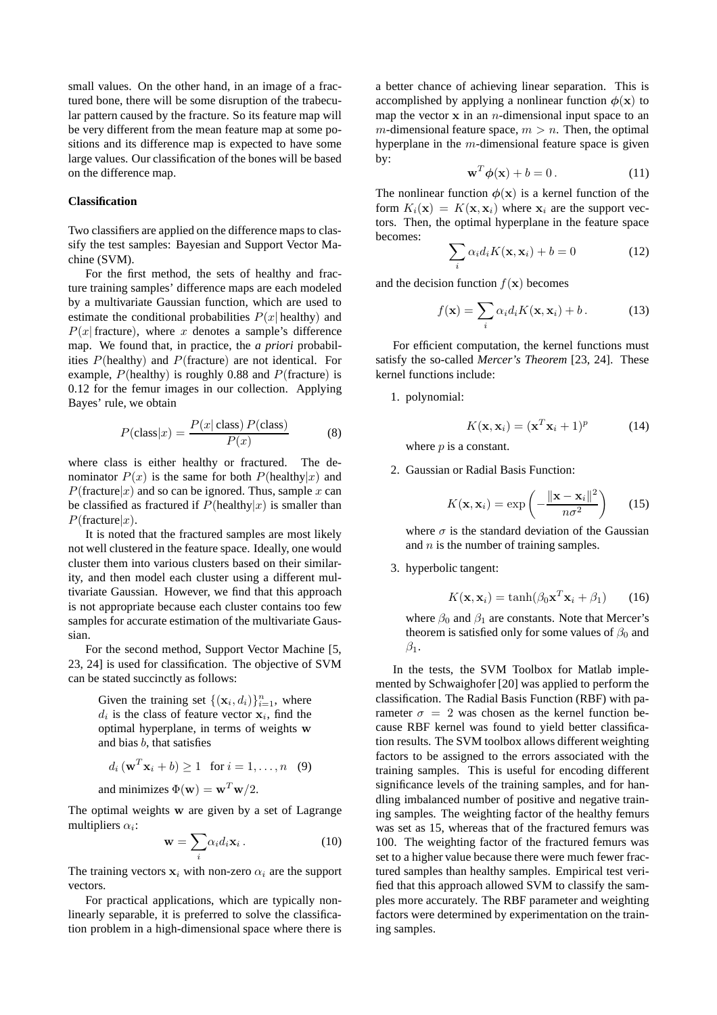small values. On the other hand, in an image of a fractured bone, there will be some disruption of the trabecular pattern caused by the fracture. So its feature map will be very different from the mean feature map at some positions and its difference map is expected to have some large values. Our classification of the bones will be based on the difference map.

#### **Classification**

Two classifiers are applied on the difference maps to classify the test samples: Bayesian and Support Vector Machine (SVM).

For the first method, the sets of healthy and fracture training samples' difference maps are each modeled by a multivariate Gaussian function, which are used to estimate the conditional probabilities  $P(x|$  healthy) and  $P(x)$  fracture), where x denotes a sample's difference map. We found that, in practice, the *a priori* probabilities  $P(\text{healthy})$  and  $P(\text{fracture})$  are not identical. For example,  $P(\text{healthy})$  is roughly 0.88 and  $P(\text{fracture})$  is 0.12 for the femur images in our collection. Applying Bayes' rule, we obtain

$$
P(\text{class}|x) = \frac{P(x|\text{ class}) P(\text{class})}{P(x)}
$$
(8)

where class is either healthy or fractured. The denominator  $P(x)$  is the same for both  $P(\text{healthy}|x)$  and  $P(\text{fracture}|x)$  and so can be ignored. Thus, sample x can be classified as fractured if  $P(\text{healthy}|x)$  is smaller than  $P(\text{fracture}|x)$ .

It is noted that the fractured samples are most likely not well clustered in the feature space. Ideally, one would cluster them into various clusters based on their similarity, and then model each cluster using a different multivariate Gaussian. However, we find that this approach is not appropriate because each cluster contains too few samples for accurate estimation of the multivariate Gaussian.

For the second method, Support Vector Machine [5, 23, 24] is used for classification. The objective of SVM can be stated succinctly as follows:

> Given the training set  $\{(\mathbf{x}_i, d_i)\}_{i=1}^n$ , where  $d_i$  is the class of feature vector  $x_i$ , find the optimal hyperplane, in terms of weights w and bias b, that satisfies

$$
d_i(\mathbf{w}^T \mathbf{x}_i + b) \ge 1 \quad \text{for } i = 1, \dots, n \quad (9)
$$

and minimizes  $\Phi(\mathbf{w}) = \mathbf{w}^T \mathbf{w}/2$ .

The optimal weights w are given by a set of Lagrange multipliers  $\alpha_i$ :

$$
\mathbf{w} = \sum_{i} \alpha_i d_i \mathbf{x}_i . \tag{10}
$$

The training vectors  $x_i$  with non-zero  $\alpha_i$  are the support vectors.

For practical applications, which are typically nonlinearly separable, it is preferred to solve the classification problem in a high-dimensional space where there is a better chance of achieving linear separation. This is accomplished by applying a nonlinear function  $\phi(\mathbf{x})$  to map the vector  $x$  in an *n*-dimensional input space to an m-dimensional feature space,  $m > n$ . Then, the optimal hyperplane in the  $m$ -dimensional feature space is given by:

$$
\mathbf{w}^T \boldsymbol{\phi}(\mathbf{x}) + b = 0. \tag{11}
$$

The nonlinear function  $\phi(\mathbf{x})$  is a kernel function of the form  $K_i(\mathbf{x}) = K(\mathbf{x}, \mathbf{x}_i)$  where  $\mathbf{x}_i$  are the support vectors. Then, the optimal hyperplane in the feature space becomes:

$$
\sum_{i} \alpha_i d_i K(\mathbf{x}, \mathbf{x}_i) + b = 0 \tag{12}
$$

and the decision function  $f(\mathbf{x})$  becomes

$$
f(\mathbf{x}) = \sum_{i} \alpha_i d_i K(\mathbf{x}, \mathbf{x}_i) + b. \tag{13}
$$

For efficient computation, the kernel functions must satisfy the so-called *Mercer's Theorem* [23, 24]. These kernel functions include:

1. polynomial:

$$
K(\mathbf{x}, \mathbf{x}_i) = (\mathbf{x}^T \mathbf{x}_i + 1)^p \tag{14}
$$

where  $p$  is a constant.

2. Gaussian or Radial Basis Function:

$$
K(\mathbf{x}, \mathbf{x}_i) = \exp\left(-\frac{\|\mathbf{x} - \mathbf{x}_i\|^2}{n\sigma^2}\right) \qquad (15)
$$

where  $\sigma$  is the standard deviation of the Gaussian and  $n$  is the number of training samples.

3. hyperbolic tangent:

$$
K(\mathbf{x}, \mathbf{x}_i) = \tanh(\beta_0 \mathbf{x}^T \mathbf{x}_i + \beta_1) \qquad (16)
$$

where  $\beta_0$  and  $\beta_1$  are constants. Note that Mercer's theorem is satisfied only for some values of  $\beta_0$  and  $\beta_1$ .

In the tests, the SVM Toolbox for Matlab implemented by Schwaighofer [20] was applied to perform the classification. The Radial Basis Function (RBF) with parameter  $\sigma = 2$  was chosen as the kernel function because RBF kernel was found to yield better classification results. The SVM toolbox allows different weighting factors to be assigned to the errors associated with the training samples. This is useful for encoding different significance levels of the training samples, and for handling imbalanced number of positive and negative training samples. The weighting factor of the healthy femurs was set as 15, whereas that of the fractured femurs was 100. The weighting factor of the fractured femurs was set to a higher value because there were much fewer fractured samples than healthy samples. Empirical test verified that this approach allowed SVM to classify the samples more accurately. The RBF parameter and weighting factors were determined by experimentation on the training samples.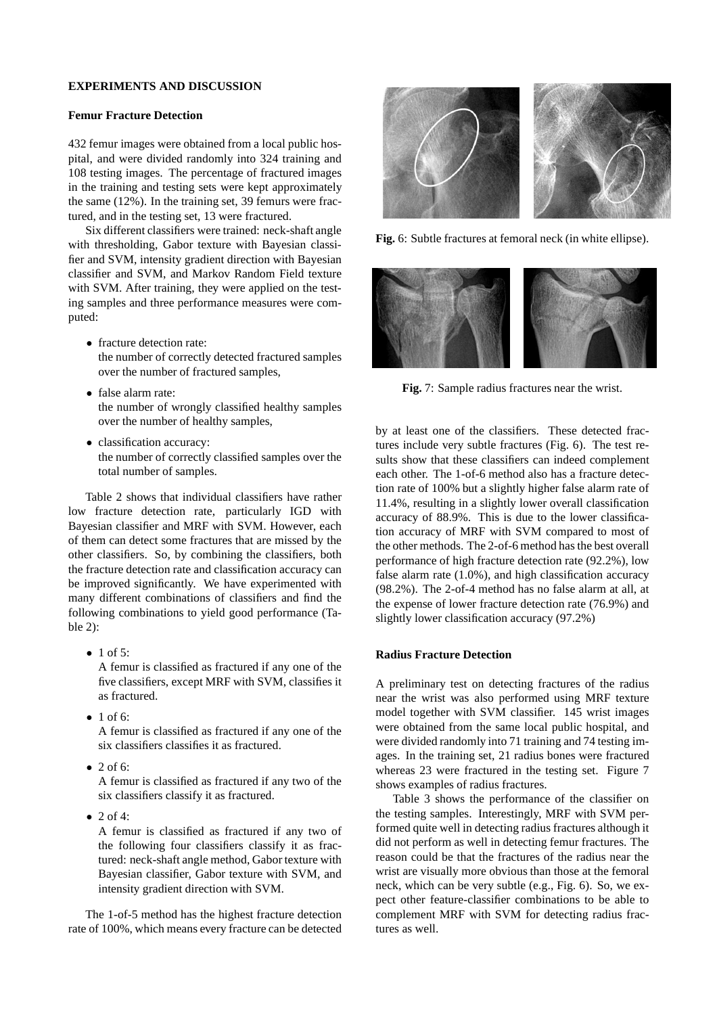# **EXPERIMENTS AND DISCUSSION**

# **Femur Fracture Detection**

432 femur images were obtained from a local public hospital, and were divided randomly into 324 training and 108 testing images. The percentage of fractured images in the training and testing sets were kept approximately the same (12%). In the training set, 39 femurs were fractured, and in the testing set, 13 were fractured.

Six different classifiers were trained: neck-shaft angle with thresholding, Gabor texture with Bayesian classifier and SVM, intensity gradient direction with Bayesian classifier and SVM, and Markov Random Field texture with SVM. After training, they were applied on the testing samples and three performance measures were computed:

- fracture detection rate: the number of correctly detected fractured samples over the number of fractured samples,
- false alarm rate: the number of wrongly classified healthy samples over the number of healthy samples,
- classification accuracy: the number of correctly classified samples over the total number of samples.

Table 2 shows that individual classifiers have rather low fracture detection rate, particularly IGD with Bayesian classifier and MRF with SVM. However, each of them can detect some fractures that are missed by the other classifiers. So, by combining the classifiers, both the fracture detection rate and classification accuracy can be improved significantly. We have experimented with many different combinations of classifiers and find the following combinations to yield good performance (Table 2):

- $\bullet$  1 of 5: A femur is classified as fractured if any one of the five classifiers, except MRF with SVM, classifies it as fractured.
- $\bullet$  1 of 6: A femur is classified as fractured if any one of the six classifiers classifies it as fractured.
- $\bullet$  2 of 6:

A femur is classified as fractured if any two of the six classifiers classify it as fractured.

 $\bullet$  2 of 4:

A femur is classified as fractured if any two of the following four classifiers classify it as fractured: neck-shaft angle method, Gabor texture with Bayesian classifier, Gabor texture with SVM, and intensity gradient direction with SVM.

The 1-of-5 method has the highest fracture detection rate of 100%, which means every fracture can be detected



**Fig.** 6: Subtle fractures at femoral neck (in white ellipse).



**Fig.** 7: Sample radius fractures near the wrist.

by at least one of the classifiers. These detected fractures include very subtle fractures (Fig. 6). The test results show that these classifiers can indeed complement each other. The 1-of-6 method also has a fracture detection rate of 100% but a slightly higher false alarm rate of 11.4%, resulting in a slightly lower overall classification accuracy of 88.9%. This is due to the lower classification accuracy of MRF with SVM compared to most of the other methods. The 2-of-6 method has the best overall performance of high fracture detection rate (92.2%), low false alarm rate (1.0%), and high classification accuracy (98.2%). The 2-of-4 method has no false alarm at all, at the expense of lower fracture detection rate (76.9%) and slightly lower classification accuracy (97.2%)

# **Radius Fracture Detection**

A preliminary test on detecting fractures of the radius near the wrist was also performed using MRF texture model together with SVM classifier. 145 wrist images were obtained from the same local public hospital, and were divided randomly into 71 training and 74 testing images. In the training set, 21 radius bones were fractured whereas 23 were fractured in the testing set. Figure 7 shows examples of radius fractures.

Table 3 shows the performance of the classifier on the testing samples. Interestingly, MRF with SVM performed quite well in detecting radius fractures although it did not perform as well in detecting femur fractures. The reason could be that the fractures of the radius near the wrist are visually more obvious than those at the femoral neck, which can be very subtle (e.g., Fig. 6). So, we expect other feature-classifier combinations to be able to complement MRF with SVM for detecting radius fractures as well.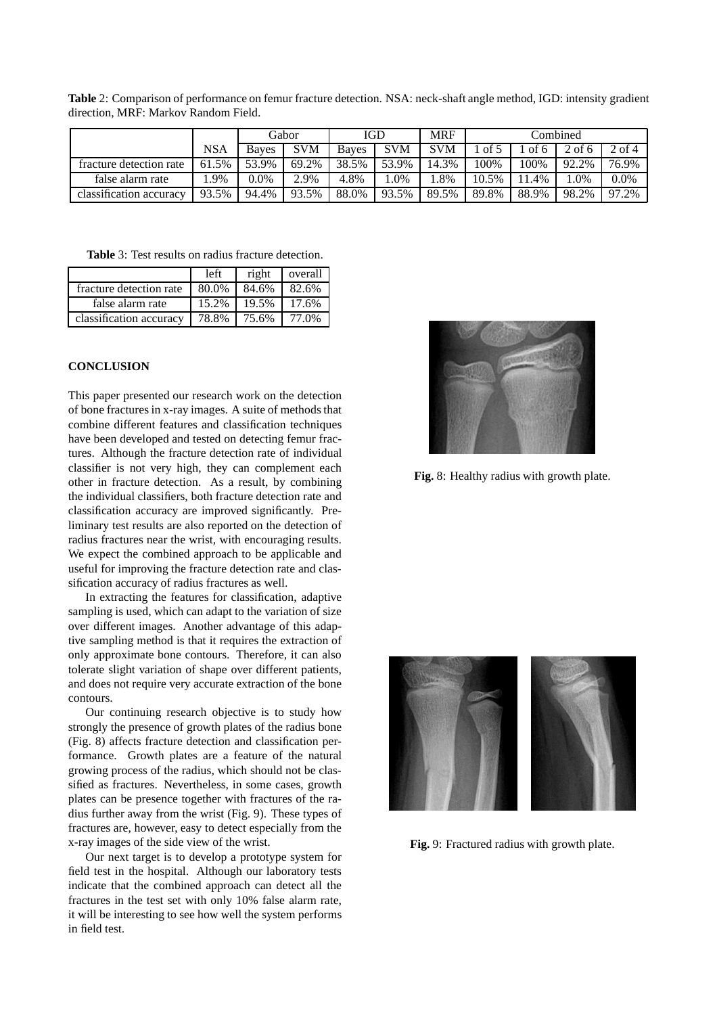**Table** 2: Comparison of performance on femur fracture detection. NSA: neck-shaft angle method, IGD: intensity gradient direction, MRF: Markov Random Field.

|                         |            | Gabor |            | <b>IGD</b>   |       | <b>MRF</b> | Combined |       |       |               |
|-------------------------|------------|-------|------------|--------------|-------|------------|----------|-------|-------|---------------|
|                         | <b>NSA</b> | Baves | <b>SVM</b> | <b>Baves</b> | SVM   | <b>SVM</b> | of       | of 6  | of 6  | $\angle$ of 4 |
| fracture detection rate | 61.5%      | 53.9% | 69.2%      | 38.5%        | 53.9% | 14.3%      | 100%     | 100%  | 92.2% | 76.9%         |
| false alarm rate        | .9%        | 0.0%  | 2.9%       | 4.8%         | .0%   | .8%        | 10.5%    | 1.4%  | .0%   | $0.0\%$       |
| classification accuracy | 93.5%      | 94.4% | 93.5%      | 88.0%        | 93.5% | 89.5%      | 89.8%    | 88.9% | 98.2% | 97.2%         |

**Table** 3: Test results on radius fracture detection.

|                         | left  | right | overall |
|-------------------------|-------|-------|---------|
| fracture detection rate | 80.0% | 84.6% | 82.6%   |
| false alarm rate        | 15.2% | 19.5% | 17.6%   |
| classification accuracy | 78.8% | 75.6% | 77.0%   |

# **CONCLUSION**

This paper presented our research work on the detection of bone fractures in x-ray images. A suite of methods that combine different features and classification techniques have been developed and tested on detecting femur fractures. Although the fracture detection rate of individual classifier is not very high, they can complement each other in fracture detection. As a result, by combining the individual classifiers, both fracture detection rate and classification accuracy are improved significantly. Preliminary test results are also reported on the detection of radius fractures near the wrist, with encouraging results. We expect the combined approach to be applicable and useful for improving the fracture detection rate and classification accuracy of radius fractures as well.

In extracting the features for classification, adaptive sampling is used, which can adapt to the variation of size over different images. Another advantage of this adaptive sampling method is that it requires the extraction of only approximate bone contours. Therefore, it can also tolerate slight variation of shape over different patients, and does not require very accurate extraction of the bone contours.

Our continuing research objective is to study how strongly the presence of growth plates of the radius bone (Fig. 8) affects fracture detection and classification performance. Growth plates are a feature of the natural growing process of the radius, which should not be classified as fractures. Nevertheless, in some cases, growth plates can be presence together with fractures of the radius further away from the wrist (Fig. 9). These types of fractures are, however, easy to detect especially from the x-ray images of the side view of the wrist.

Our next target is to develop a prototype system for field test in the hospital. Although our laboratory tests indicate that the combined approach can detect all the fractures in the test set with only 10% false alarm rate, it will be interesting to see how well the system performs in field test.



**Fig.** 8: Healthy radius with growth plate.



**Fig.** 9: Fractured radius with growth plate.